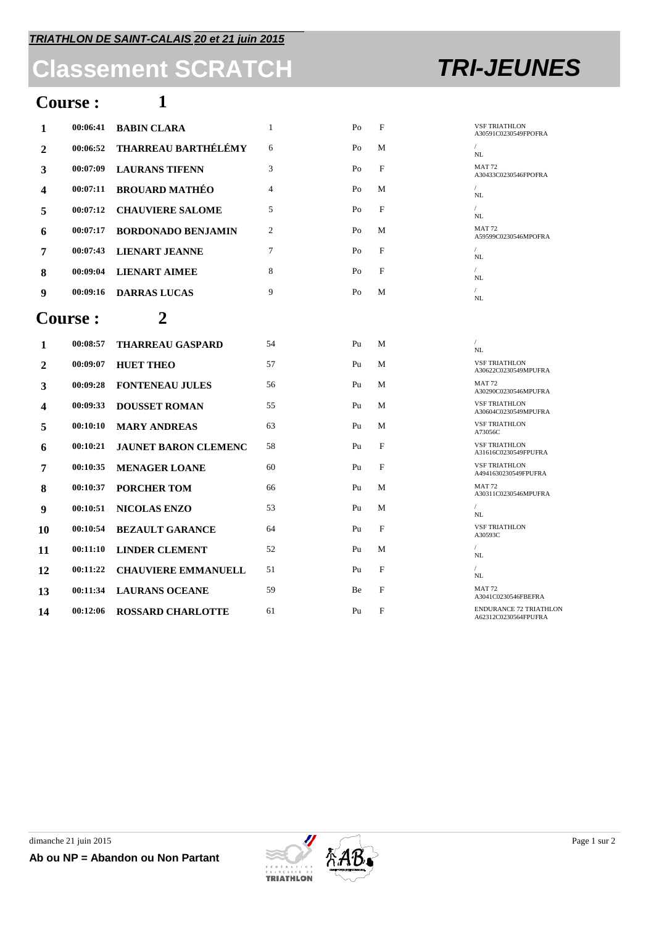# **Classement SCRATCH TRI-JEUNES**

## **Course : 1**

| 00:06:41       | <b>BABIN CLARA</b>          | $\mathbf{1}$   | Po             | F            | <b>VSF TRIATHLON</b><br>A30591C0230549FPOFRA          |
|----------------|-----------------------------|----------------|----------------|--------------|-------------------------------------------------------|
| 00:06:52       | THARREAU BARTHÉLÉMY         | 6              | Po             | М            | $\sqrt{2}$<br>NL                                      |
| 00:07:09       | <b>LAURANS TIFENN</b>       | 3              | Po             | F            | <b>MAT 72</b><br>A30433C0230546FPOFRA                 |
| 00:07:11       | <b>BROUARD MATHÉO</b>       | $\overline{4}$ | P <sub>O</sub> | M            | NL                                                    |
| 00:07:12       | <b>CHAUVIERE SALOME</b>     | 5              | Po             | F            | NL                                                    |
| 00:07:17       | <b>BORDONADO BENJAMIN</b>   | 2              | Po             | M            | <b>MAT 72</b><br>A59599C0230546MPOFRA                 |
| 00:07:43       | <b>LIENART JEANNE</b>       | $\tau$         | P <sub>O</sub> | F            | $\sqrt{2}$<br>NL                                      |
| 00:09:04       | <b>LIENART AIMEE</b>        | 8              | Po             | F            | $\sqrt{2}$<br>NL                                      |
| 00:09:16       | <b>DARRAS LUCAS</b>         | 9              | Po             | М            | $\sqrt{2}$<br>NL                                      |
| <b>Course:</b> | 2                           |                |                |              |                                                       |
| 00:08:57       | <b>THARREAU GASPARD</b>     | 54             | Pu             | M            | $\prime$<br>NL                                        |
| 00:09:07       | <b>HUET THEO</b>            | 57             | Pu             | М            | <b>VSF TRIATHLON</b><br>A30622C0230549MPUFRA          |
| 00:09:28       | <b>FONTENEAU JULES</b>      | 56             | Pu             | M            | <b>MAT 72</b><br>A30290C0230546MPUFRA                 |
| 00:09:33       | <b>DOUSSET ROMAN</b>        | 55             | Pu             | M            | <b>VSF TRIATHLON</b><br>A30604C0230549MPUFRA          |
| 00:10:10       | <b>MARY ANDREAS</b>         | 63             | P <sub>u</sub> | M            | <b>VSF TRIATHLON</b><br>A73056C                       |
| 00:10:21       | <b>JAUNET BARON CLEMENC</b> | 58             | Pu             | F            | <b>VSF TRIATHLON</b><br>A31616C0230549FPUFRA          |
| 00:10:35       | <b>MENAGER LOANE</b>        | 60             | P <sub>u</sub> | F            | <b>VSF TRIATHLON</b><br>A4941630230549FPUFRA          |
| 00:10:37       | <b>PORCHER TOM</b>          | 66             | P <sub>u</sub> | M            | <b>MAT 72</b><br>A30311C0230546MPUFRA                 |
| 00:10:51       | <b>NICOLAS ENZO</b>         | 53             | Pu             | М            | $\sqrt{2}$<br>NL                                      |
| 00:10:54       | <b>BEZAULT GARANCE</b>      | 64             | Pu             | $\mathbf{F}$ | <b>VSF TRIATHLON</b><br>A30593C                       |
| 00:11:10       | <b>LINDER CLEMENT</b>       | 52             | Pu             | М            | $\sqrt{2}$<br>NL                                      |
| 00:11:22       | <b>CHAUVIERE EMMANUELL</b>  | 51             | Pu             | F            | $\sqrt{2}$<br>NL                                      |
| 00:11:34       | <b>LAURANS OCEANE</b>       | 59             | Be             | $\mathbf{F}$ | <b>MAT 72</b><br>A3041C0230546FBEFRA                  |
| 00:12:06       | <b>ROSSARD CHARLOTTE</b>    | 61             | P <sub>u</sub> | F            | <b>ENDURANCE 72 TRIATHLON</b><br>A62312C0230564FPUFRA |
|                |                             |                |                |              |                                                       |